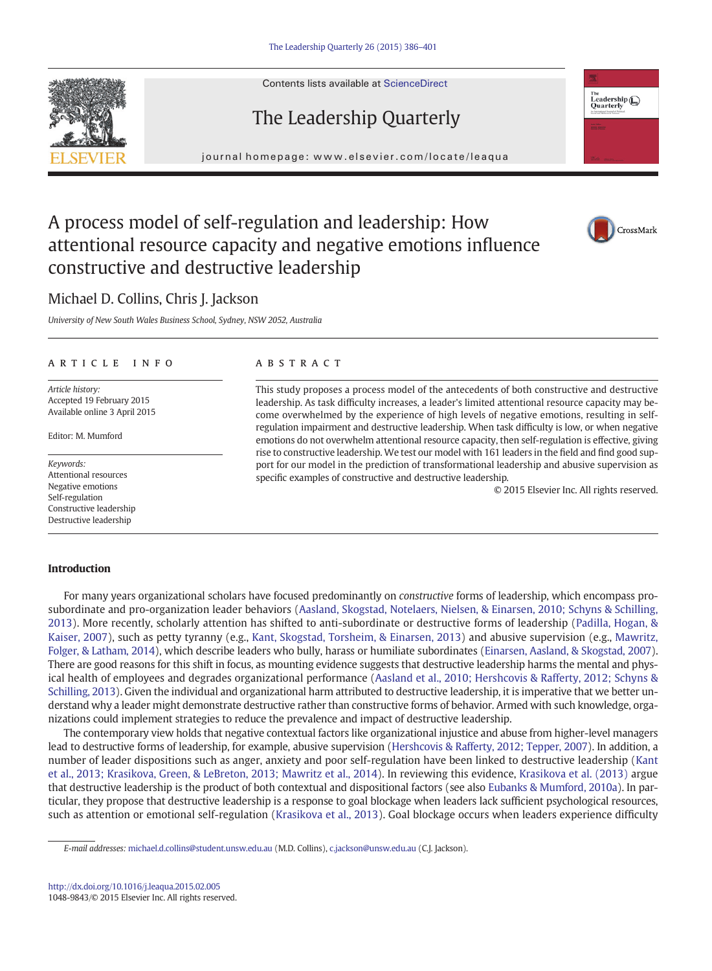Contents lists available at ScienceDirect





journal homepage: www.elsevier.com/locate/leaqua



## A process model of self-regulation and leadership: How attentional resource capacity and negative emotions influence constructive and destructive leadership

# CrossMark

### Michael D. Collins, Chris J. Jackson

University of New South Wales Business School, Sydney, NSW 2052, Australia

### article info abstract

Article history: Accepted 19 February 2015 Available online 3 April 2015

Editor: M. Mumford

Keywords: Attentional resources Negative emotions Self-regulation Constructive leadership Destructive leadership

This study proposes a process model of the antecedents of both constructive and destructive leadership. As task difficulty increases, a leader's limited attentional resource capacity may become overwhelmed by the experience of high levels of negative emotions, resulting in selfregulation impairment and destructive leadership. When task difficulty is low, or when negative emotions do not overwhelm attentional resource capacity, then self-regulation is effective, giving rise to constructive leadership. We test our model with 161 leaders in the field and find good support for our model in the prediction of transformational leadership and abusive supervision as specific examples of constructive and destructive leadership.

© 2015 Elsevier Inc. All rights reserved.

### Introduction

For many years organizational scholars have focused predominantly on constructive forms of leadership, which encompass prosubordinate and pro-organization leader behaviors ([Aasland, Skogstad, Notelaers, Nielsen, & Einarsen, 2010; Schyns & Schilling,](#page--1-0) [2013](#page--1-0)). More recently, scholarly attention has shifted to anti-subordinate or destructive forms of leadership [\(Padilla, Hogan, &](#page--1-0) [Kaiser, 2007](#page--1-0)), such as petty tyranny (e.g., [Kant, Skogstad, Torsheim, & Einarsen, 2013\)](#page--1-0) and abusive supervision (e.g., [Mawritz,](#page--1-0) [Folger, & Latham, 2014](#page--1-0)), which describe leaders who bully, harass or humiliate subordinates ([Einarsen, Aasland, & Skogstad, 2007\)](#page--1-0). There are good reasons for this shift in focus, as mounting evidence suggests that destructive leadership harms the mental and physical health of employees and degrades organizational performance ([Aasland et al., 2010; Hershcovis & Rafferty, 2012; Schyns &](#page--1-0) [Schilling, 2013](#page--1-0)). Given the individual and organizational harm attributed to destructive leadership, it is imperative that we better understand why a leader might demonstrate destructive rather than constructive forms of behavior. Armed with such knowledge, organizations could implement strategies to reduce the prevalence and impact of destructive leadership.

The contemporary view holds that negative contextual factors like organizational injustice and abuse from higher-level managers lead to destructive forms of leadership, for example, abusive supervision ([Hershcovis & Rafferty, 2012; Tepper, 2007](#page--1-0)). In addition, a number of leader dispositions such as anger, anxiety and poor self-regulation have been linked to destructive leadership [\(Kant](#page--1-0) [et al., 2013; Krasikova, Green, & LeBreton, 2013; Mawritz et al., 2014\)](#page--1-0). In reviewing this evidence, [Krasikova et al. \(2013\)](#page--1-0) argue that destructive leadership is the product of both contextual and dispositional factors (see also [Eubanks & Mumford, 2010a\)](#page--1-0). In particular, they propose that destructive leadership is a response to goal blockage when leaders lack sufficient psychological resources, such as attention or emotional self-regulation ([Krasikova et al., 2013](#page--1-0)). Goal blockage occurs when leaders experience difficulty

E-mail addresses: [michael.d.collins@student.unsw.edu.au](mailto:michael.d.collins@student.unsw.edu.au) (M.D. Collins), [c.jackson@unsw.edu.au](mailto:c.jackson@unsw.edu.au) (C.J. Jackson).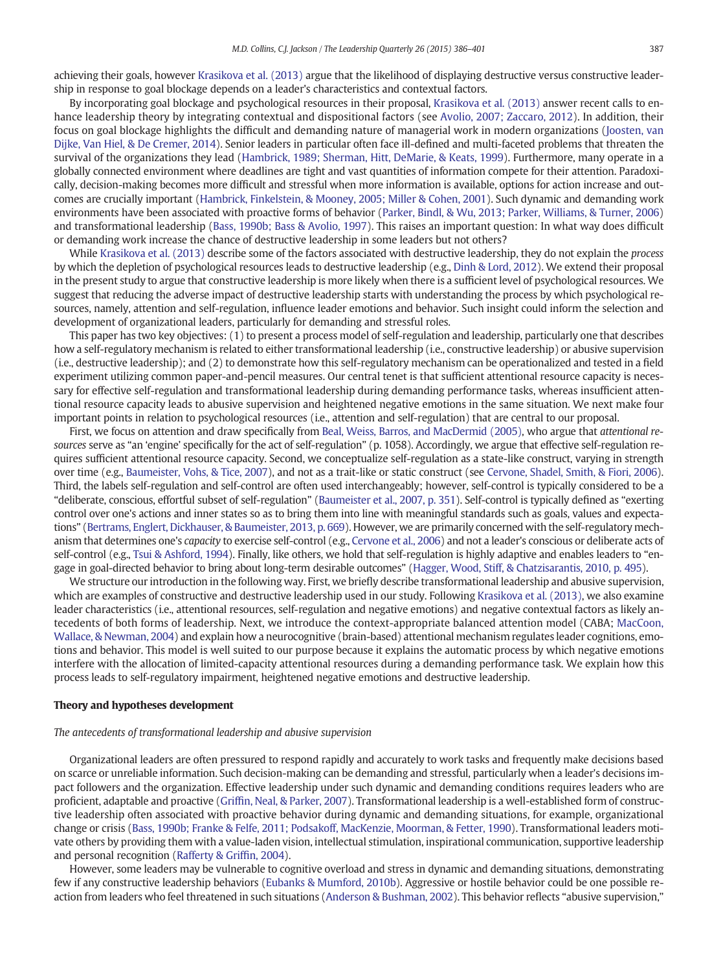achieving their goals, however [Krasikova et al. \(2013\)](#page--1-0) argue that the likelihood of displaying destructive versus constructive leadership in response to goal blockage depends on a leader's characteristics and contextual factors.

By incorporating goal blockage and psychological resources in their proposal, [Krasikova et al. \(2013\)](#page--1-0) answer recent calls to enhance leadership theory by integrating contextual and dispositional factors (see [Avolio, 2007; Zaccaro, 2012](#page--1-0)). In addition, their focus on goal blockage highlights the difficult and demanding nature of managerial work in modern organizations [\(Joosten, van](#page--1-0) [Dijke, Van Hiel, & De Cremer, 2014\)](#page--1-0). Senior leaders in particular often face ill-defined and multi-faceted problems that threaten the survival of the organizations they lead ([Hambrick, 1989; Sherman, Hitt, DeMarie, & Keats, 1999\)](#page--1-0). Furthermore, many operate in a globally connected environment where deadlines are tight and vast quantities of information compete for their attention. Paradoxically, decision-making becomes more difficult and stressful when more information is available, options for action increase and outcomes are crucially important ([Hambrick, Finkelstein, & Mooney, 2005; Miller & Cohen, 2001\)](#page--1-0). Such dynamic and demanding work environments have been associated with proactive forms of behavior [\(Parker, Bindl, & Wu, 2013; Parker, Williams, & Turner, 2006](#page--1-0)) and transformational leadership ([Bass, 1990b; Bass & Avolio, 1997](#page--1-0)). This raises an important question: In what way does difficult or demanding work increase the chance of destructive leadership in some leaders but not others?

While [Krasikova et al. \(2013\)](#page--1-0) describe some of the factors associated with destructive leadership, they do not explain the *process* by which the depletion of psychological resources leads to destructive leadership (e.g., [Dinh & Lord, 2012](#page--1-0)). We extend their proposal in the present study to argue that constructive leadership is more likely when there is a sufficient level of psychological resources. We suggest that reducing the adverse impact of destructive leadership starts with understanding the process by which psychological resources, namely, attention and self-regulation, influence leader emotions and behavior. Such insight could inform the selection and development of organizational leaders, particularly for demanding and stressful roles.

This paper has two key objectives: (1) to present a process model of self-regulation and leadership, particularly one that describes how a self-regulatory mechanism is related to either transformational leadership (i.e., constructive leadership) or abusive supervision (i.e., destructive leadership); and (2) to demonstrate how this self-regulatory mechanism can be operationalized and tested in a field experiment utilizing common paper-and-pencil measures. Our central tenet is that sufficient attentional resource capacity is necessary for effective self-regulation and transformational leadership during demanding performance tasks, whereas insufficient attentional resource capacity leads to abusive supervision and heightened negative emotions in the same situation. We next make four important points in relation to psychological resources (i.e., attention and self-regulation) that are central to our proposal.

First, we focus on attention and draw specifically from [Beal, Weiss, Barros, and MacDermid \(2005\),](#page--1-0) who argue that attentional resources serve as "an 'engine' specifically for the act of self-regulation" (p. 1058). Accordingly, we argue that effective self-regulation requires sufficient attentional resource capacity. Second, we conceptualize self-regulation as a state-like construct, varying in strength over time (e.g., [Baumeister, Vohs, & Tice, 2007\)](#page--1-0), and not as a trait-like or static construct (see [Cervone, Shadel, Smith, & Fiori, 2006](#page--1-0)). Third, the labels self-regulation and self-control are often used interchangeably; however, self-control is typically considered to be a "deliberate, conscious, effortful subset of self-regulation" ([Baumeister et al., 2007, p. 351](#page--1-0)). Self-control is typically defined as "exerting control over one's actions and inner states so as to bring them into line with meaningful standards such as goals, values and expectations" ([Bertrams, Englert, Dickhauser, & Baumeister, 2013, p. 669](#page--1-0)). However, we are primarily concerned with the self-regulatory mechanism that determines one's capacity to exercise self-control (e.g., [Cervone et al., 2006\)](#page--1-0) and not a leader's conscious or deliberate acts of self-control (e.g., [Tsui & Ashford, 1994\)](#page--1-0). Finally, like others, we hold that self-regulation is highly adaptive and enables leaders to "engage in goal-directed behavior to bring about long-term desirable outcomes" ([Hagger, Wood, Stiff, & Chatzisarantis, 2010, p. 495\)](#page--1-0).

We structure our introduction in the following way. First, we briefly describe transformational leadership and abusive supervision, which are examples of constructive and destructive leadership used in our study. Following [Krasikova et al. \(2013\),](#page--1-0) we also examine leader characteristics (i.e., attentional resources, self-regulation and negative emotions) and negative contextual factors as likely antecedents of both forms of leadership. Next, we introduce the context-appropriate balanced attention model (CABA; [MacCoon,](#page--1-0) [Wallace, & Newman, 2004\)](#page--1-0) and explain how a neurocognitive (brain-based) attentional mechanism regulates leader cognitions, emotions and behavior. This model is well suited to our purpose because it explains the automatic process by which negative emotions interfere with the allocation of limited-capacity attentional resources during a demanding performance task. We explain how this process leads to self-regulatory impairment, heightened negative emotions and destructive leadership.

### Theory and hypotheses development

### The antecedents of transformational leadership and abusive supervision

Organizational leaders are often pressured to respond rapidly and accurately to work tasks and frequently make decisions based on scarce or unreliable information. Such decision-making can be demanding and stressful, particularly when a leader's decisions impact followers and the organization. Effective leadership under such dynamic and demanding conditions requires leaders who are proficient, adaptable and proactive (Griffi[n, Neal, & Parker, 2007](#page--1-0)). Transformational leadership is a well-established form of constructive leadership often associated with proactive behavior during dynamic and demanding situations, for example, organizational change or crisis [\(Bass, 1990b; Franke & Felfe, 2011; Podsakoff, MacKenzie, Moorman, & Fetter, 1990\)](#page--1-0). Transformational leaders motivate others by providing them with a value-laden vision, intellectual stimulation, inspirational communication, supportive leadership and personal recognition [\(Rafferty & Grif](#page--1-0)fin, 2004).

However, some leaders may be vulnerable to cognitive overload and stress in dynamic and demanding situations, demonstrating few if any constructive leadership behaviors [\(Eubanks & Mumford, 2010b\)](#page--1-0). Aggressive or hostile behavior could be one possible reaction from leaders who feel threatened in such situations [\(Anderson & Bushman, 2002](#page--1-0)). This behavior reflects "abusive supervision,"